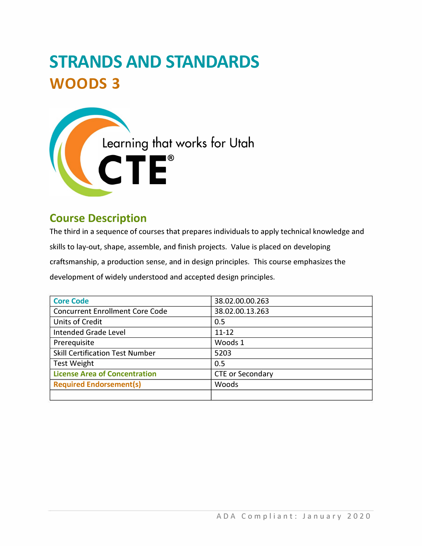# **STRANDS AND STANDARDS WOODS 3**



# **Course Description**

The third in a sequence of courses that prepares individuals to apply technical knowledge and skills to lay-out, shape, assemble, and finish projects. Value is placed on developing craftsmanship, a production sense, and in design principles. This course emphasizes the development of widely understood and accepted design principles.

| <b>Core Code</b>                       | 38.02.00.00.263         |  |  |  |
|----------------------------------------|-------------------------|--|--|--|
| <b>Concurrent Enrollment Core Code</b> | 38.02.00.13.263         |  |  |  |
| <b>Units of Credit</b>                 | 0.5                     |  |  |  |
| Intended Grade Level                   | $11 - 12$               |  |  |  |
| Prerequisite                           | Woods 1                 |  |  |  |
| <b>Skill Certification Test Number</b> | 5203                    |  |  |  |
| <b>Test Weight</b>                     | 0.5                     |  |  |  |
| <b>License Area of Concentration</b>   | <b>CTE or Secondary</b> |  |  |  |
| <b>Required Endorsement(s)</b>         | Woods                   |  |  |  |
|                                        |                         |  |  |  |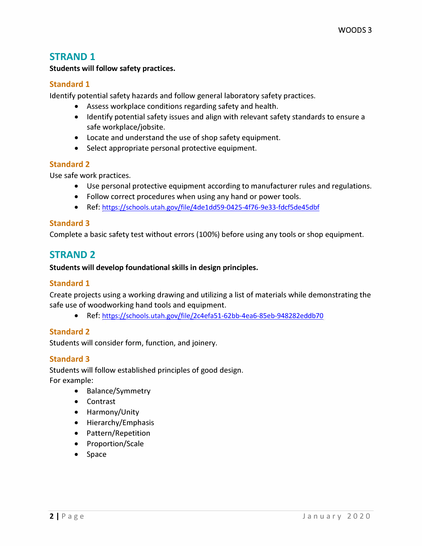## **STRAND 1**

**Students will follow safety practices.** 

#### **Standard 1**

**Identify potential safety hazards and follow general laboratory safety practices.** 

- **Assess workplace conditions regarding safety and health.**
- **Identify potential safety issues and align with relevant safety standards to ensure a safe workplace/jobsite.**
- **Locate and understand the use of shop safety equipment.**
- **Select appropriate personal protective equipment.**

#### **Standard 2**

**Use safe work practices.** 

- **Use personal protective equipment according to manufacturer rules and regulations.**
- **Follow correct procedures when using any hand or power tools.**
- **Ref: [https://schools.utah.gov/file/4deldd59-0425-4f76-9e33-fdcf5de45dbf](https://schools.utah.gov/file/4de1dd59-0425-4f76-9e33-fdcf5de45dbf)**

#### **Standard 3**

**Complete a basic safety test without errors (100%) before using any tools or shop equipment.** 

# **STRAND 2**

#### **Students will develop foundational skills in design principles.**

#### **Standard 1**

**Create projects using a working drawing and utilizing a list of materials while demonstrating the safe use of woodworking hand tools and equipment.** 

**• Ref:<https://schools.utah.gov/file/2c4efa51-62bb-4ea6-85eb-948282eddb70>**

#### **Standard 2**

**Students will consider form, function, and joinery.** 

#### **Standard 3**

**Students will follow established principles of good design. For example:** 

- **Balance/Symmetry**
- **Contrast**
- **Harmony/Unity**
- **Hierarchy/Emphasis**
- **Pattern/Repetition**
- **Proportion/Scale**
- **Space**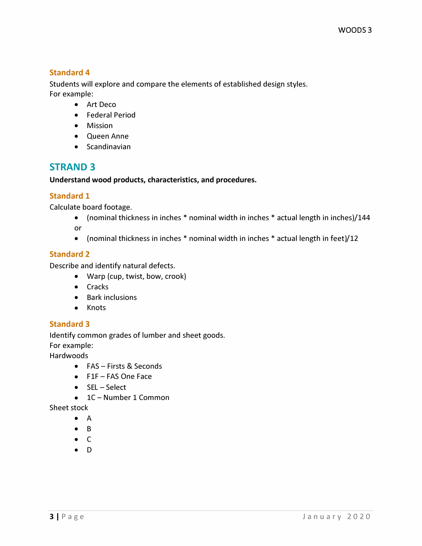#### **Standard 4**

**Students will explore and compare the elements of established design styles. For example:** 

- **Art Deco**
- **Federal Period**
- **Mission**
- **Queen Anne**
- **Scandinavian**

# **STRAND 3**

#### **Understand wood products, characteristics, and procedures.**

#### **Standard 1**

**Calculate board footage.** 

- **(nominal thickness in inches \* nominal width in inches \* actual length in inches)/144 or**
- **(nominal thickness in inches \* nominal width in inches \* actual length in feet)/12**

#### **Standard 2**

**Describe and identify natural defects.** 

- **Warp (cup, twist, bow, crook)**
- **Cracks**
- **Bark inclusions**
- **Knots**

#### **Standard 3**

**Identify common grades of lumber and sheet goods. For example:** 

**Hardwoods** 

- **FAS - Firsts & Seconds**
- **FlF - FAS One Face**
- **SEL - Select**
- **lC - Number 1 Common**

**Sheet stock** 

- **A**
- **B**
- $\bullet$  C
- **D**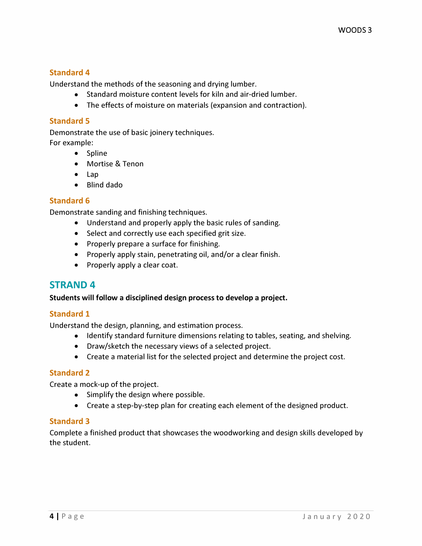#### **Standard 4**

**Understand the methods of the seasoning and drying lumber.** 

- **Standard moisture content levels for kiln and air-dried lumber.**
- **The effects of moisture on materials (expansion and contraction).**

#### **Standard 5**

**Demonstrate the use of basic joinery techniques.** 

- **For example:** 
	- **Spline**
	- **Mortise & Tenon**
	- **Lap**
	- **Blind dado**

#### **Standard 6**

**Demonstrate sanding and finishing techniques.** 

- **Understand and properly apply the basic rules of sanding.**
- **Select and correctly use each specified grit size.**
- **Properly prepare a surface for finishing.**
- **Properly apply stain, penetrating oil, and/or a clear finish.**
- **Properly apply a clear coat.**

## **STRAND 4**

#### **Students will follow a disciplined design process to develop a project.**

#### **Standard 1**

**Understand the design, planning, and estimation process.** 

- **Identify standard furniture dimensions relating to tables, seating, and shelving.**
- **Draw/sketch the necessary views of a selected project.**
- **Create a material list for the selected project and determine the project cost.**

#### **Standard 2**

**Create a mock-up of the project.** 

- **Simplify the design where possible.**
- **Create a step-by-step plan for creating each element of the designed product.**

#### **Standard 3**

**Complete a finished product that showcases the woodworking and design skills developed by the student.**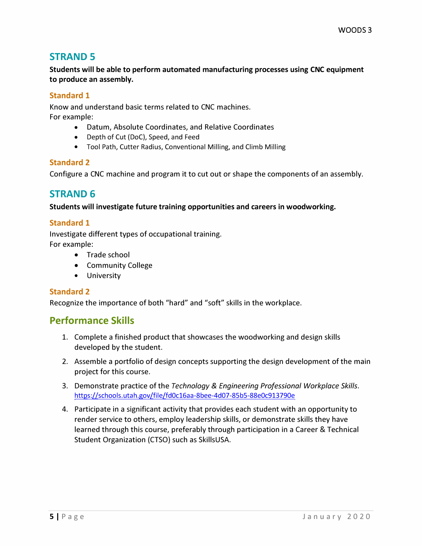# **STRAND 5**

**Students will be able to perform automated manufacturing processes using CNC equipment to produce an assembly.** 

#### **Standard 1**

**Know and understand basic terms related to CNC machines. For example:** 

- **Datum, Absolute Coordinates, and Relative Coordinates**
- **Depth of Cut (DoC), Speed, and Feed**
- **Tool Path, Cutter Radius, Conventional Milling, and Climb Milling**

#### **Standard 2**

**Configure a CNC machine and program it to cut out or shape the components of an assembly.** 

# **STRAND 6**

**Students will investigate future training opportunities and careers in woodworking.** 

#### **Standard 1**

**Investigate different types of occupational training. For example:** 

- **Trade school**
- **Community College**
- **University**

#### **Standard 2**

**Recognize the importance of both "hard" and "soft" skills in the workplace.** 

## **Performance Skills**

- **1. Complete a finished product that showcases the woodworking and design skills developed by the student.**
- **2. Assemble a portfolio of design concepts supporting the design development of the main project for this course.**
- **3. Demonstrate practice of the** *Technology* **&** *Engineering Professional Workplace Skills.*  **<https://schools.utah.gov/file/fd0c16aa-8bee-4d07-85b5-88e0c913790e>**
- **4. Participate in a significant activity that provides each student with an opportunity to render service to others, employ leadership skills, or demonstrate skills they have learned through this course, preferably through participation in a Career & Technical Student Organization (CTSO) such as SkillsUSA.**